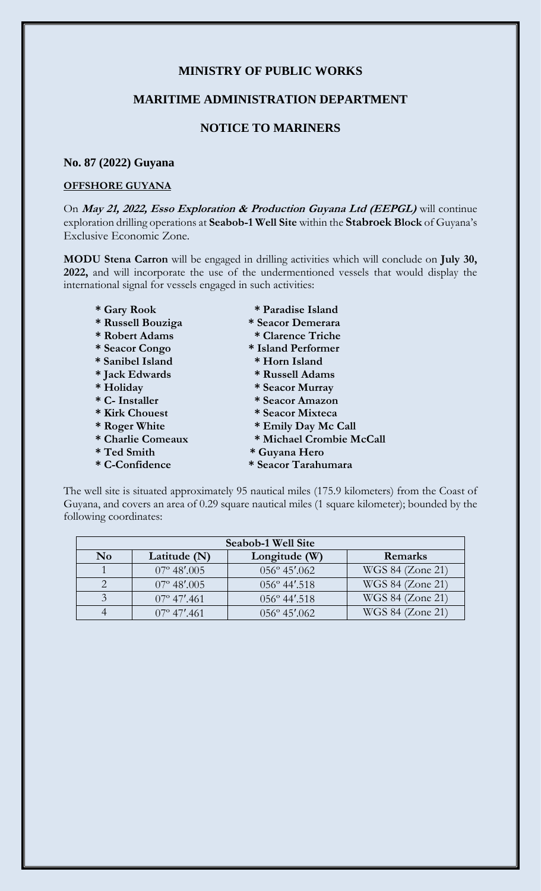## **MINISTRY OF PUBLIC WORKS**

### **MARITIME ADMINISTRATION DEPARTMENT**

# **NOTICE TO MARINERS**

#### **No. 87 (2022) Guyana**

#### **OFFSHORE GUYANA**

On **May 21, 2022, Esso Exploration & Production Guyana Ltd (EEPGL)** will continue exploration drilling operations at **Seabob-1 Well Site** within the **Stabroek Block** of Guyana's Exclusive Economic Zone.

**MODU Stena Carron** will be engaged in drilling activities which will conclude on **July 30, 2022,** and will incorporate the use of the undermentioned vessels that would display the international signal for vessels engaged in such activities:

- 
- 
- 
- **\* Sanibel Island \* Horn Island**
- 
- 
- 
- 
- 
- 
- 
- 
- **\* Gary Rook \* Paradise Island**
- **\* Russell Bouziga \* Seacor Demerara**
- **\* Robert Adams \* Clarence Triche**
- **\* Seacor Congo \* Island Performer** 
	-
- **\* Jack Edwards \* Russell Adams**
- **\* Holiday \* Seacor Murray**
- **\* C- Installer \* Seacor Amazon**
- **\* Kirk Chouest \* Seacor Mixteca**
- **\* Roger White \* Emily Day Mc Call**
- **\* Charlie Comeaux \* Michael Crombie McCall**
- **\* Ted Smith \* Guyana Hero**
- **\* C-Confidence \* Seacor Tarahumara**

The well site is situated approximately 95 nautical miles (175.9 kilometers) from the Coast of Guyana, and covers an area of 0.29 square nautical miles (1 square kilometer); bounded by the following coordinates:

| Seabob-1 Well Site     |                      |                        |                  |
|------------------------|----------------------|------------------------|------------------|
| $\mathbf{N}\mathbf{o}$ | Latitude (N)         | Longitude (W)          | Remarks          |
|                        | $07^{\circ}$ 48'.005 | $056^{\circ}$ 45'.062  | WGS 84 (Zone 21) |
|                        | $07^{\circ}$ 48'.005 | $056^{\circ}$ 44'.518  | WGS 84 (Zone 21) |
|                        | $07^{\circ}$ 47'.461 | $056^{\circ}$ 44'.518  | WGS 84 (Zone 21) |
|                        | $07^{\circ}$ 47'.461 | $056^{\circ} 45'$ .062 | WGS 84 (Zone 21) |